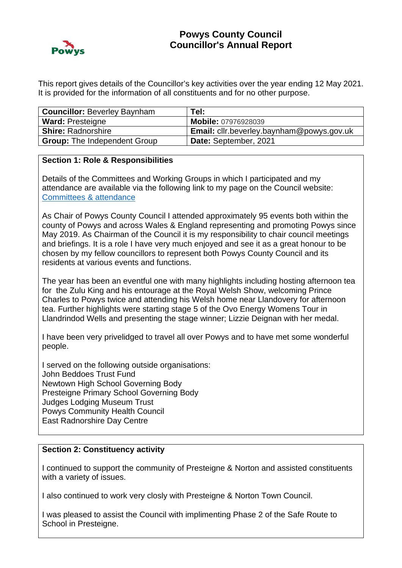

This report gives details of the Councillor's key activities over the year ending 12 May 2021. It is provided for the information of all constituents and for no other purpose.

| <b>Councillor: Beverley Baynham</b> | Tel:                                             |
|-------------------------------------|--------------------------------------------------|
| <b>Ward: Presteigne</b>             | <b>Mobile: 07976928039</b>                       |
| <b>Shire: Radnorshire</b>           | <b>Email:</b> cllr.beverley.baynham@powys.gov.uk |
| <b>Group:</b> The Independent Group | Date: September, 2021                            |

### **Section 1: Role & Responsibilities**

Details of the Committees and Working Groups in which I participated and my attendance are available via the following link to my page on the Council website: [Committees & attendance](https://powys.moderngov.co.uk/mgAttendance.aspx?XXR=0&DR=14%2f05%2f2020-12%2f05%2f2021&ACT=Go&UID=593)

As Chair of Powys County Council I attended approximately 95 events both within the county of Powys and across Wales & England representing and promoting Powys since May 2019. As Chairman of the Council it is my responsibility to chair council meetings and briefings. It is a role I have very much enjoyed and see it as a great honour to be chosen by my fellow councillors to represent both Powys County Council and its residents at various events and functions.

The year has been an eventful one with many highlights including hosting afternoon tea for the Zulu King and his entourage at the Royal Welsh Show, welcoming Prince Charles to Powys twice and attending his Welsh home near Llandovery for afternoon tea. Further highlights were starting stage 5 of the Ovo Energy Womens Tour in Llandrindod Wells and presenting the stage winner; Lizzie Deignan with her medal.

I have been very privelidged to travel all over Powys and to have met some wonderful people.

I served on the following outside organisations: John Beddoes Trust Fund Newtown High School Governing Body Presteigne Primary School Governing Body Judges Lodging Museum Trust Powys Community Health Council East Radnorshire Day Centre

### **Section 2: Constituency activity**

I continued to support the community of Presteigne & Norton and assisted constituents with a variety of issues.

I also continued to work very closly with Presteigne & Norton Town Council.

I was pleased to assist the Council with implimenting Phase 2 of the Safe Route to School in Presteigne.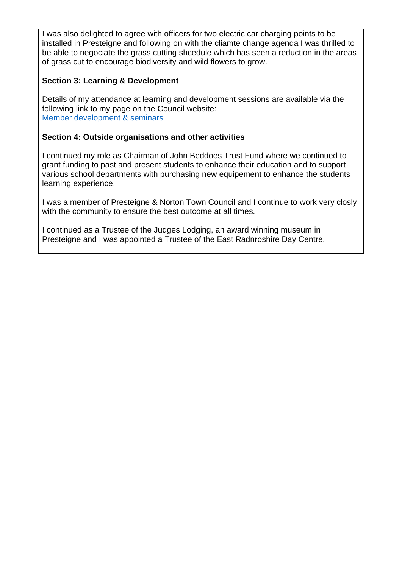I was also delighted to agree with officers for two electric car charging points to be installed in Presteigne and following on with the cliamte change agenda I was thrilled to be able to negociate the grass cutting shcedule which has seen a reduction in the areas of grass cut to encourage biodiversity and wild flowers to grow.

# **Section 3: Learning & Development**

Details of my attendance at learning and development sessions are available via the following link to my page on the Council website: [Member development & seminars](https://powys.moderngov.co.uk/mgListTraining.aspx?XXR=0&DR=16%2f05%2f2019-13%2f05%2f2020&ACT=Find&UID=593&RPID=6321260)

## **Section 4: Outside organisations and other activities**

I continued my role as Chairman of John Beddoes Trust Fund where we continued to grant funding to past and present students to enhance their education and to support various school departments with purchasing new equipement to enhance the students learning experience.

I was a member of Presteigne & Norton Town Council and I continue to work very closly with the community to ensure the best outcome at all times.

I continued as a Trustee of the Judges Lodging, an award winning museum in Presteigne and I was appointed a Trustee of the East Radnroshire Day Centre.